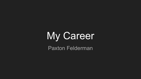# My Career Paxton Felderman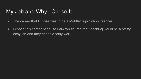## My Job and Why I Chose It

- The career that I chose was to be a Middle/High School teacher
- I chose this career because I always figured that teaching would be a pretty easy job and they get paid fairly well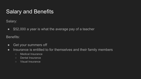#### Salary and Benefits

Salary:

• \$52,000 a year is what the average pay of a teacher

Benefits:

- Get your summers off
- Insurance is entitled to for themselves and their family members
	- Medical Insurance
	- Dental Insurance
	- Visual Insurance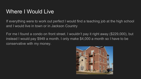### Where I Would Live

If everything were to work out perfect I would find a teaching job at the high school and I would live in town or in Jackson Country

For me I found a condo on front street. I wouldn't pay it right away (\$229,000), but instead I would pay \$949 a month. I only make \$4,000 a month so I have to be conservative with my money.

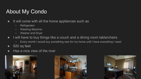# About My Condo

- It will come with all the home appliances such as
	- Refrigerator
	- Washing Machine
	- Washer and Dryer
- I will have to buy things like a couch and a dining room table/chairs
	- Every month I would buy something new for my home until I have everything I need
- 920 sq feet
- Has a nice view of the river





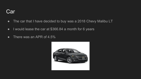#### Car

- The car that I have decided to buy was a 2018 Chevy Malibu LT
- I would lease the car at \$366.84 a month for 6 years
- There was an APR of 4.5%

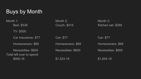# Buys by Month

Month 1: Month 2: Month 3: Bed- \$539 Couch- \$415 Kitchen set- \$285 TV- \$500 Car Insurance- \$77 Car- \$77 Car- \$77 Car- \$77 Homeowners- \$68 Homeowners- \$68 Homeowners- \$68 Necessities- \$600 Necessities- \$600 Necessities- \$600 Total left over to spend: \$900.16 \$1,524.16 \$1,524.16 \$1,654.16